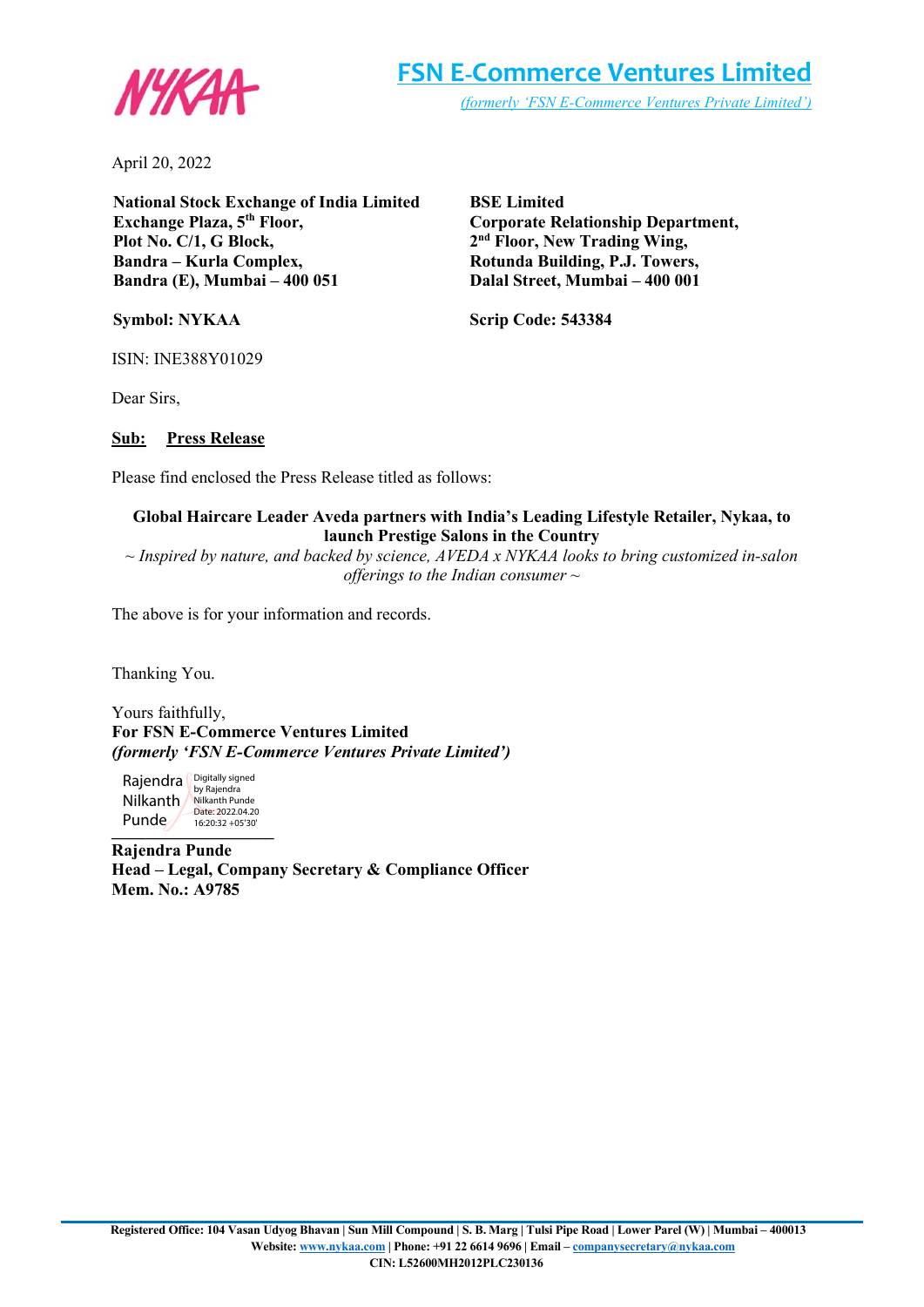

April 20, 2022

**National Stock Exchange of India Limited Exchange Plaza, 5th Floor, Plot No. C/1, G Block, Bandra – Kurla Complex, Bandra (E), Mumbai – 400 051**

**Symbol: NYKAA**

**BSE Limited Corporate Relationship Department, 2nd Floor, New Trading Wing, Rotunda Building, P.J. Towers, Dalal Street, Mumbai – 400 001**

**Scrip Code: 543384**

ISIN: INE388Y01029

Dear Sirs,

### **Sub: Press Release**

Please find enclosed the Press Release titled as follows:

## **Global Haircare Leader Aveda partners with India's Leading Lifestyle Retailer, Nykaa, to launch Prestige Salons in the Country**

*~ Inspired by nature, and backed by science, AVEDA x NYKAA looks to bring customized in-salon offerings to the Indian consumer ~*

The above is for your information and records.

Thanking You.

Yours faithfully, **For FSN E-Commerce Ventures Limited** *(formerly 'FSN E-Commerce Ventures Private Limited')*

**\_\_\_\_\_\_\_\_\_\_\_\_\_\_\_\_\_\_\_** 16:20:32 +05'30'Rajendra **Digitally signed** Nilkanth Nilkanth Punde Punde Date: 2022.04.20

**Rajendra Punde Head – Legal, Company Secretary & Compliance Officer Mem. No.: A9785**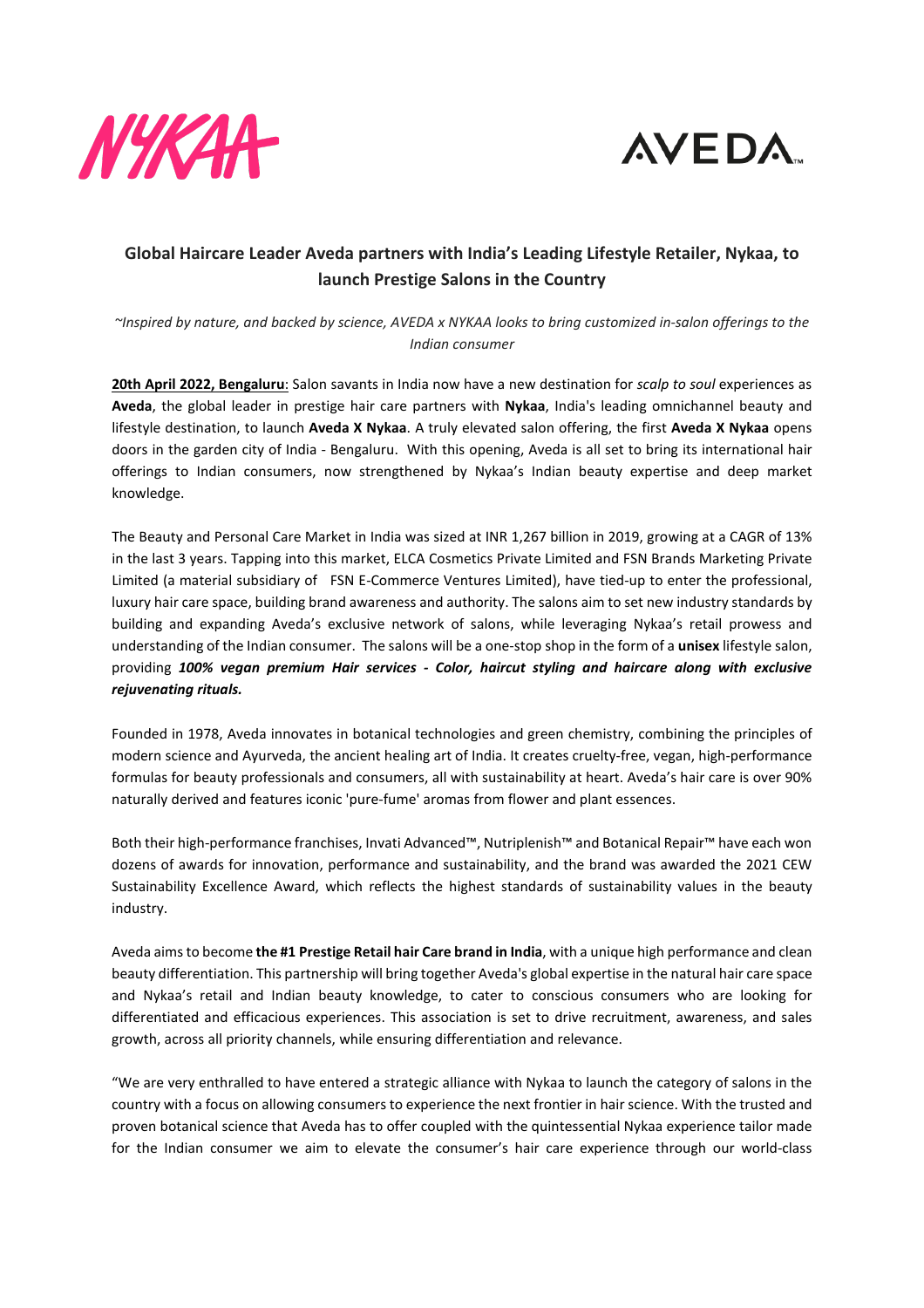



# **Global Haircare Leader Aveda partners with India's Leading Lifestyle Retailer, Nykaa, to launch Prestige Salons in the Country**

*~Inspired by nature, and backed by science, AVEDA x NYKAA looks to bring customized in-salon offerings to the Indian consumer*

**20th April 2022, Bengaluru**: Salon savants in India now have a new destination for *scalp to soul* experiences as **Aveda**, the global leader in prestige hair care partners with **Nykaa**, India's leading omnichannel beauty and lifestyle destination, to launch **Aveda X Nykaa**. A truly elevated salon offering, the first **Aveda X Nykaa** opens doors in the garden city of India - Bengaluru. With this opening, Aveda is all set to bring its international hair offerings to Indian consumers, now strengthened by Nykaa's Indian beauty expertise and deep market knowledge.

The Beauty and Personal Care Market in India was sized at INR 1,267 billion in 2019, growing at a CAGR of 13% in the last 3 years. Tapping into this market, ELCA Cosmetics Private Limited and FSN Brands Marketing Private Limited (a material subsidiary of FSN E-Commerce Ventures Limited), have tied-up to enter the professional, luxury hair care space, building brand awareness and authority. The salons aim to set new industry standards by building and expanding Aveda's exclusive network of salons, while leveraging Nykaa's retail prowess and understanding of the Indian consumer. The salons will be a one-stop shop in the form of a **unisex** lifestyle salon, providing *100% vegan premium Hair services - Color, haircut styling and haircare along with exclusive rejuvenating rituals.*

Founded in 1978, Aveda innovates in botanical technologies and green chemistry, combining the principles of modern science and Ayurveda, the ancient healing art of India. It creates cruelty-free, vegan, high-performance formulas for beauty professionals and consumers, all with sustainability at heart. Aveda's hair care is over 90% naturally derived and features iconic 'pure-fume' aromas from flower and plant essences.

Both their high-performance franchises, Invati Advanced™, Nutriplenish™ and Botanical Repair™ have each won dozens of awards for innovation, performance and sustainability, and the brand was awarded the 2021 CEW Sustainability Excellence Award, which reflects the highest standards of sustainability values in the beauty industry.

Aveda aims to become **the #1 Prestige Retail hair Care brand in India**, with a unique high performance and clean beauty differentiation. This partnership will bring together Aveda's global expertise in the natural hair care space and Nykaa's retail and Indian beauty knowledge, to cater to conscious consumers who are looking for differentiated and efficacious experiences. This association is set to drive recruitment, awareness, and sales growth, across all priority channels, while ensuring differentiation and relevance.

"We are very enthralled to have entered a strategic alliance with Nykaa to launch the category of salons in the country with a focus on allowing consumers to experience the next frontier in hair science. With the trusted and proven botanical science that Aveda has to offer coupled with the quintessential Nykaa experience tailor made for the Indian consumer we aim to elevate the consumer's hair care experience through our world-class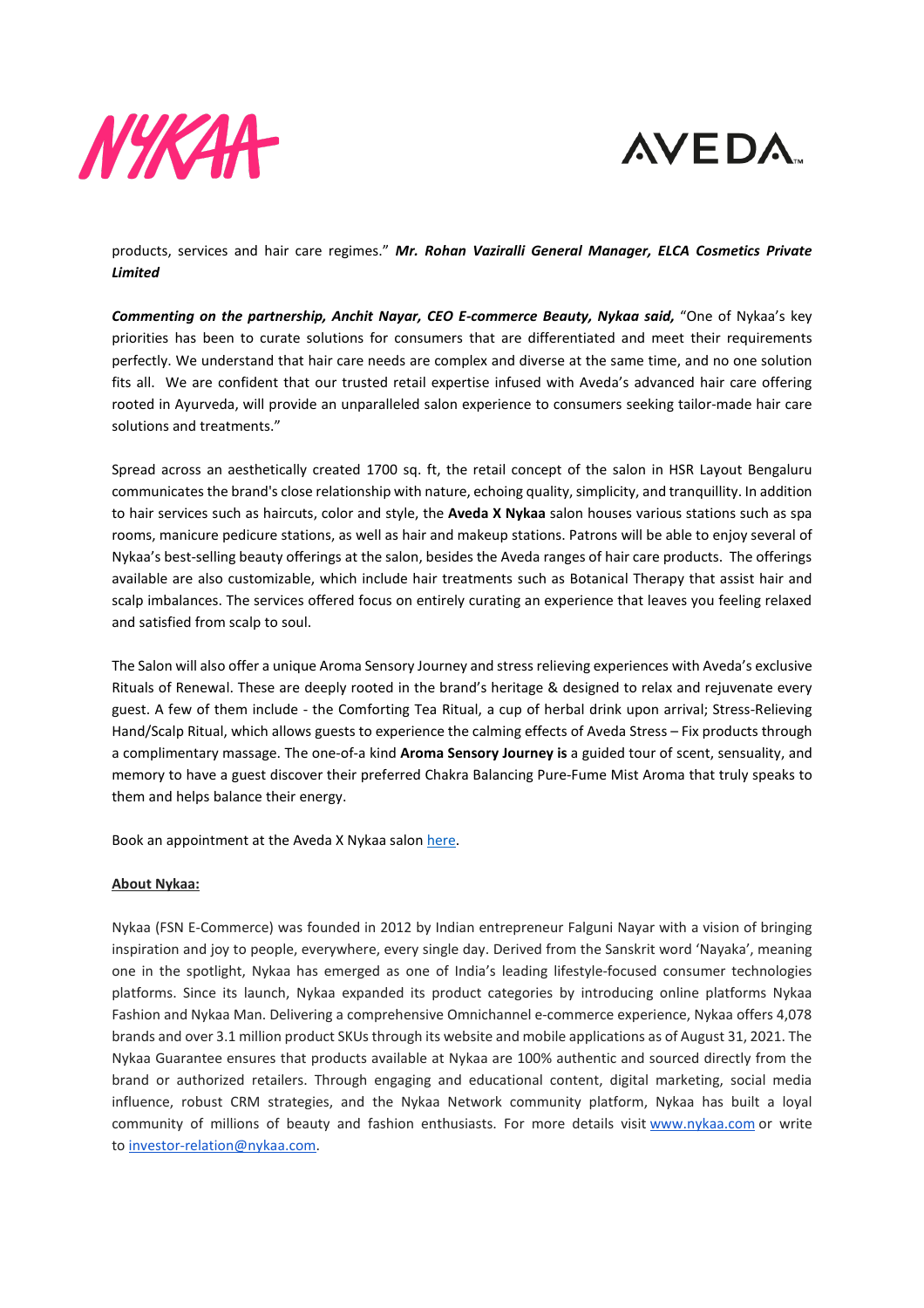



products, services and hair care regimes." *Mr. Rohan Vaziralli General Manager, ELCA Cosmetics Private Limited*

*Commenting on the partnership, Anchit Nayar, CEO E-commerce Beauty, Nykaa said,* "One of Nykaa's key priorities has been to curate solutions for consumers that are differentiated and meet their requirements perfectly. We understand that hair care needs are complex and diverse at the same time, and no one solution fits all. We are confident that our trusted retail expertise infused with Aveda's advanced hair care offering rooted in Ayurveda, will provide an unparalleled salon experience to consumers seeking tailor-made hair care solutions and treatments."

Spread across an aesthetically created 1700 sq. ft, the retail concept of the salon in HSR Layout Bengaluru communicates the brand's close relationship with nature, echoing quality, simplicity, and tranquillity. In addition to hair services such as haircuts, color and style, the **Aveda X Nykaa** salon houses various stations such as spa rooms, manicure pedicure stations, as well as hair and makeup stations. Patrons will be able to enjoy several of Nykaa's best-selling beauty offerings at the salon, besides the Aveda ranges of hair care products. The offerings available are also customizable, which include hair treatments such as Botanical Therapy that assist hair and scalp imbalances. The services offered focus on entirely curating an experience that leaves you feeling relaxed and satisfied from scalp to soul.

The Salon will also offer a unique Aroma Sensory Journey and stress relieving experiences with Aveda's exclusive Rituals of Renewal. These are deeply rooted in the brand's heritage & designed to relax and rejuvenate every guest. A few of them include - the Comforting Tea Ritual, a cup of herbal drink upon arrival; Stress-Relieving Hand/Scalp Ritual, which allows guests to experience the calming effects of Aveda Stress – Fix products through a complimentary massage. The one-of-a kind **Aroma Sensory Journey is** a guided tour of scent, sensuality, and memory to have a guest discover their preferred Chakra Balancing Pure-Fume Mist Aroma that truly speaks to them and helps balance their energy.

Book an appointment at the Aveda X Nykaa salon [here.](https://www.nykaa.com/sp/aveda/aveda)

### **About Nykaa:**

Nykaa (FSN E-Commerce) was founded in 2012 by Indian entrepreneur Falguni Nayar with a vision of bringing inspiration and joy to people, everywhere, every single day. Derived from the Sanskrit word 'Nayaka', meaning one in the spotlight, Nykaa has emerged as one of India's leading lifestyle-focused consumer technologies platforms. Since its launch, Nykaa expanded its product categories by introducing online platforms Nykaa Fashion and Nykaa Man. Delivering a comprehensive Omnichannel e-commerce experience, Nykaa offers 4,078 brands and over 3.1 million product SKUs through its website and mobile applications as of August 31, 2021. The Nykaa Guarantee ensures that products available at Nykaa are 100% authentic and sourced directly from the brand or authorized retailers. Through engaging and educational content, digital marketing, social media influence, robust CRM strategies, and the Nykaa Network community platform, Nykaa has built a loyal community of millions of beauty and fashion enthusiasts. For more details visit [www.nykaa.com](http://www.nykaa.com/) or write to [investor-relation@nykaa.com.](mailto:investor-relation@nykaa.com)